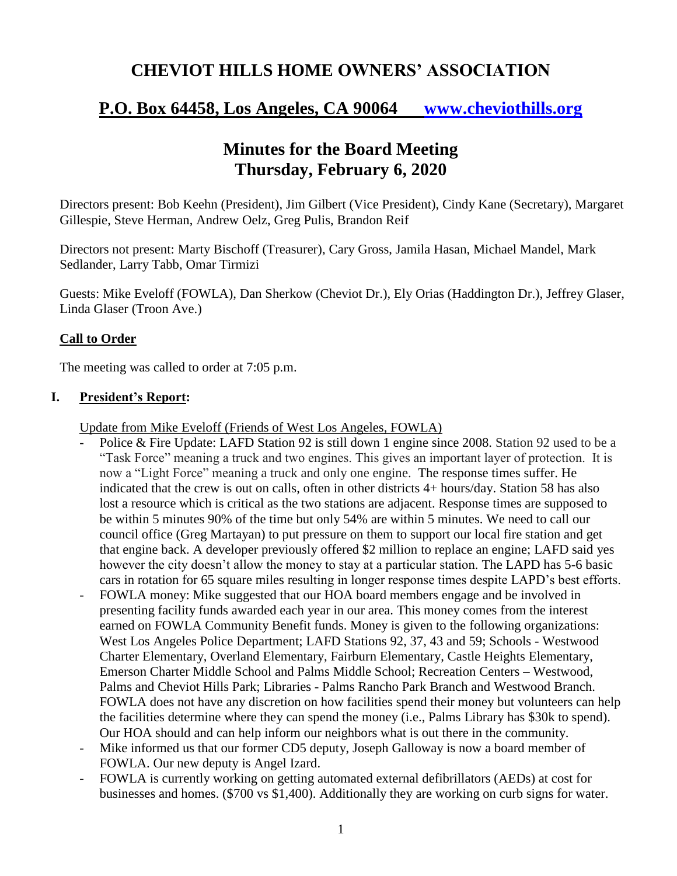# **CHEVIOT HILLS HOME OWNERS' ASSOCIATION**

# **P.O. Box 64458, Los Angeles, CA 90064 [www.cheviothills.org](http://www.cheviothills.org/)**

# **Minutes for the Board Meeting Thursday, February 6, 2020**

Directors present: Bob Keehn (President), Jim Gilbert (Vice President), Cindy Kane (Secretary), Margaret Gillespie, Steve Herman, Andrew Oelz, Greg Pulis, Brandon Reif

Directors not present: Marty Bischoff (Treasurer), Cary Gross, Jamila Hasan, Michael Mandel, Mark Sedlander, Larry Tabb, Omar Tirmizi

Guests: Mike Eveloff (FOWLA), Dan Sherkow (Cheviot Dr.), Ely Orias (Haddington Dr.), Jeffrey Glaser, Linda Glaser (Troon Ave.)

## **Call to Order**

The meeting was called to order at 7:05 p.m.

#### **I. President's Report:**

Update from Mike Eveloff (Friends of West Los Angeles, FOWLA)

- Police & Fire Update: LAFD Station 92 is still down 1 engine since 2008. Station 92 used to be a "Task Force" meaning a truck and two engines. This gives an important layer of protection. It is now a "Light Force" meaning a truck and only one engine. The response times suffer. He indicated that the crew is out on calls, often in other districts 4+ hours/day. Station 58 has also lost a resource which is critical as the two stations are adjacent. Response times are supposed to be within 5 minutes 90% of the time but only 54% are within 5 minutes. We need to call our council office (Greg Martayan) to put pressure on them to support our local fire station and get that engine back. A developer previously offered \$2 million to replace an engine; LAFD said yes however the city doesn't allow the money to stay at a particular station. The LAPD has 5-6 basic cars in rotation for 65 square miles resulting in longer response times despite LAPD's best efforts.
- FOWLA money: Mike suggested that our HOA board members engage and be involved in presenting facility funds awarded each year in our area. This money comes from the interest earned on FOWLA Community Benefit funds. Money is given to the following organizations: West Los Angeles Police Department; LAFD Stations 92, 37, 43 and 59; Schools - Westwood Charter Elementary, Overland Elementary, Fairburn Elementary, Castle Heights Elementary, Emerson Charter Middle School and Palms Middle School; Recreation Centers – Westwood, Palms and Cheviot Hills Park; Libraries - Palms Rancho Park Branch and Westwood Branch. FOWLA does not have any discretion on how facilities spend their money but volunteers can help the facilities determine where they can spend the money (i.e., Palms Library has \$30k to spend). Our HOA should and can help inform our neighbors what is out there in the community.
- Mike informed us that our former CD5 deputy, Joseph Galloway is now a board member of FOWLA. Our new deputy is Angel Izard.
- FOWLA is currently working on getting automated external defibrillators (AEDs) at cost for businesses and homes. (\$700 vs \$1,400). Additionally they are working on curb signs for water.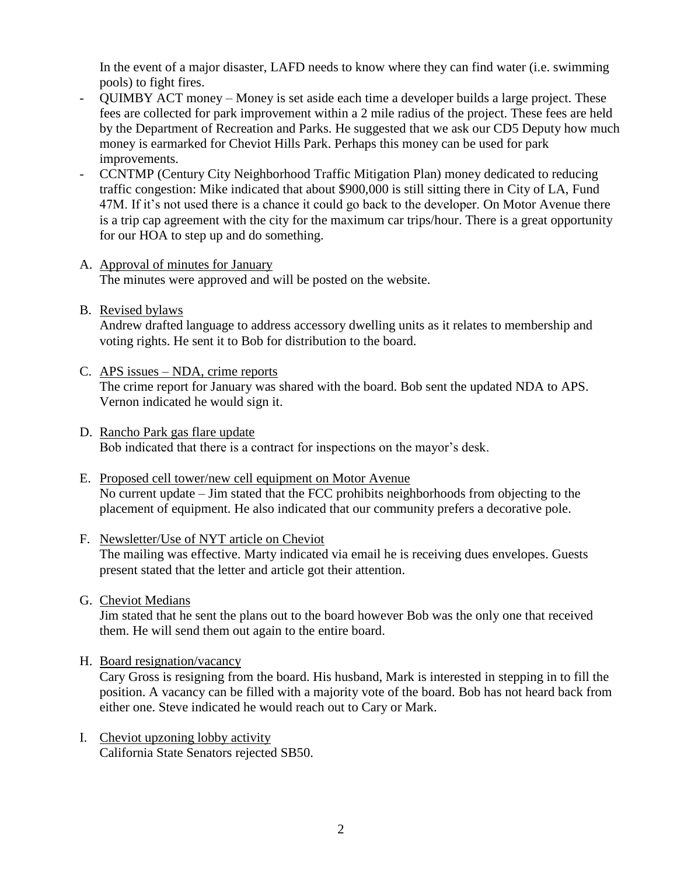In the event of a major disaster, LAFD needs to know where they can find water (i.e. swimming pools) to fight fires.

- QUIMBY ACT money Money is set aside each time a developer builds a large project. These fees are collected for park improvement within a 2 mile radius of the project. These fees are held by the Department of Recreation and Parks. He suggested that we ask our CD5 Deputy how much money is earmarked for Cheviot Hills Park. Perhaps this money can be used for park improvements.
- CCNTMP (Century City Neighborhood Traffic Mitigation Plan) money dedicated to reducing traffic congestion: Mike indicated that about \$900,000 is still sitting there in City of LA, Fund 47M. If it's not used there is a chance it could go back to the developer. On Motor Avenue there is a trip cap agreement with the city for the maximum car trips/hour. There is a great opportunity for our HOA to step up and do something.
- A. Approval of minutes for January The minutes were approved and will be posted on the website.
- B. Revised bylaws

Andrew drafted language to address accessory dwelling units as it relates to membership and voting rights. He sent it to Bob for distribution to the board.

- C. APS issues NDA, crime reports The crime report for January was shared with the board. Bob sent the updated NDA to APS. Vernon indicated he would sign it.
- D. Rancho Park gas flare update Bob indicated that there is a contract for inspections on the mayor's desk.
- E. Proposed cell tower/new cell equipment on Motor Avenue No current update – Jim stated that the FCC prohibits neighborhoods from objecting to the placement of equipment. He also indicated that our community prefers a decorative pole.
- F. Newsletter/Use of NYT article on Cheviot The mailing was effective. Marty indicated via email he is receiving dues envelopes. Guests present stated that the letter and article got their attention.
- G. Cheviot Medians

Jim stated that he sent the plans out to the board however Bob was the only one that received them. He will send them out again to the entire board.

H. Board resignation/vacancy

Cary Gross is resigning from the board. His husband, Mark is interested in stepping in to fill the position. A vacancy can be filled with a majority vote of the board. Bob has not heard back from either one. Steve indicated he would reach out to Cary or Mark.

I. Cheviot upzoning lobby activity California State Senators rejected SB50.